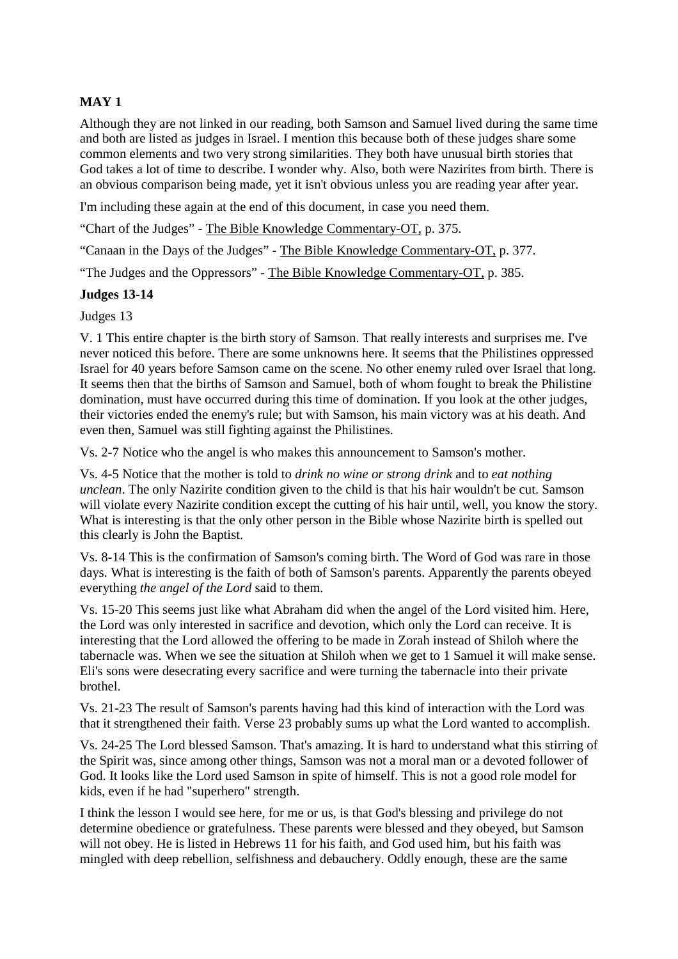# **MAY 1**

Although they are not linked in our reading, both Samson and Samuel lived during the same time and both are listed as judges in Israel. I mention this because both of these judges share some common elements and two very strong similarities. They both have unusual birth stories that God takes a lot of time to describe. I wonder why. Also, both were Nazirites from birth. There is an obvious comparison being made, yet it isn't obvious unless you are reading year after year.

I'm including these again at the end of this document, in case you need them.

"Chart of the Judges" - The Bible Knowledge Commentary-OT, p. 375.

"Canaan in the Days of the Judges" - The Bible Knowledge Commentary-OT, p. 377.

"The Judges and the Oppressors" - The Bible Knowledge Commentary-OT, p. 385.

### **Judges 13-14**

Judges 13

V. 1 This entire chapter is the birth story of Samson. That really interests and surprises me. I've never noticed this before. There are some unknowns here. It seems that the Philistines oppressed Israel for 40 years before Samson came on the scene. No other enemy ruled over Israel that long. It seems then that the births of Samson and Samuel, both of whom fought to break the Philistine domination, must have occurred during this time of domination. If you look at the other judges, their victories ended the enemy's rule; but with Samson, his main victory was at his death. And even then, Samuel was still fighting against the Philistines.

Vs. 2-7 Notice who the angel is who makes this announcement to Samson's mother.

Vs. 4-5 Notice that the mother is told to *drink no wine or strong drink* and to *eat nothing unclean*. The only Nazirite condition given to the child is that his hair wouldn't be cut. Samson will violate every Nazirite condition except the cutting of his hair until, well, you know the story. What is interesting is that the only other person in the Bible whose Nazirite birth is spelled out this clearly is John the Baptist.

Vs. 8-14 This is the confirmation of Samson's coming birth. The Word of God was rare in those days. What is interesting is the faith of both of Samson's parents. Apparently the parents obeyed everything *the angel of the Lord* said to them.

Vs. 15-20 This seems just like what Abraham did when the angel of the Lord visited him. Here, the Lord was only interested in sacrifice and devotion, which only the Lord can receive. It is interesting that the Lord allowed the offering to be made in Zorah instead of Shiloh where the tabernacle was. When we see the situation at Shiloh when we get to 1 Samuel it will make sense. Eli's sons were desecrating every sacrifice and were turning the tabernacle into their private brothel.

Vs. 21-23 The result of Samson's parents having had this kind of interaction with the Lord was that it strengthened their faith. Verse 23 probably sums up what the Lord wanted to accomplish.

Vs. 24-25 The Lord blessed Samson. That's amazing. It is hard to understand what this stirring of the Spirit was, since among other things, Samson was not a moral man or a devoted follower of God. It looks like the Lord used Samson in spite of himself. This is not a good role model for kids, even if he had "superhero" strength.

I think the lesson I would see here, for me or us, is that God's blessing and privilege do not determine obedience or gratefulness. These parents were blessed and they obeyed, but Samson will not obey. He is listed in Hebrews 11 for his faith, and God used him, but his faith was mingled with deep rebellion, selfishness and debauchery. Oddly enough, these are the same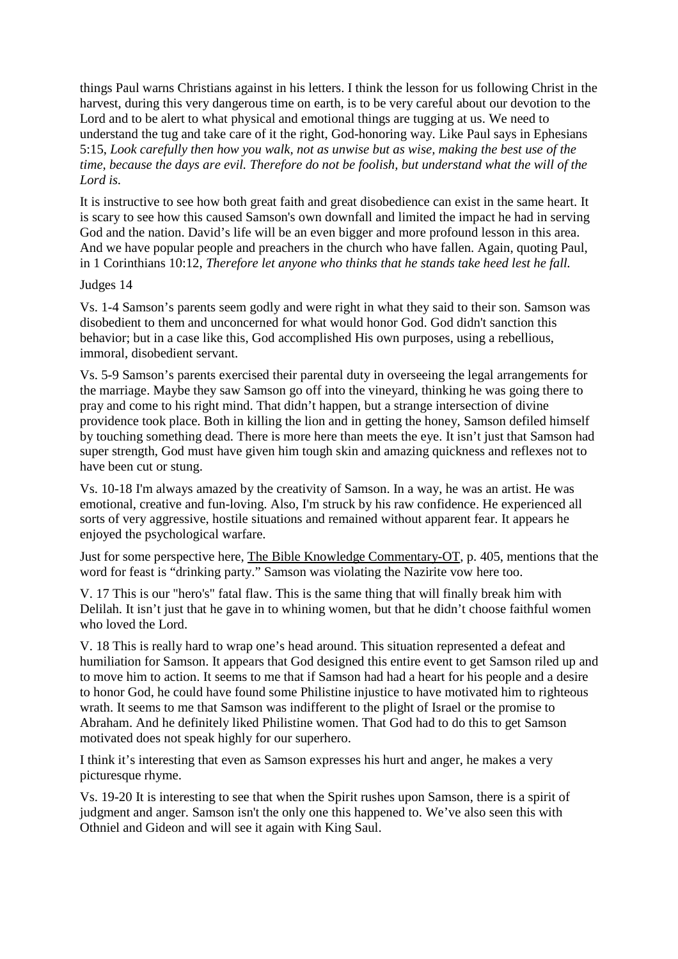things Paul warns Christians against in his letters. I think the lesson for us following Christ in the harvest, during this very dangerous time on earth, is to be very careful about our devotion to the Lord and to be alert to what physical and emotional things are tugging at us. We need to understand the tug and take care of it the right, God-honoring way. Like Paul says in Ephesians 5:15, *Look carefully then how you walk, not as unwise but as wise, making the best use of the time, because the days are evil. Therefore do not be foolish, but understand what the will of the Lord is.* 

It is instructive to see how both great faith and great disobedience can exist in the same heart. It is scary to see how this caused Samson's own downfall and limited the impact he had in serving God and the nation. David's life will be an even bigger and more profound lesson in this area. And we have popular people and preachers in the church who have fallen. Again, quoting Paul, in 1 Corinthians 10:12, *Therefore let anyone who thinks that he stands take heed lest he fall.*

#### Judges 14

Vs. 1-4 Samson's parents seem godly and were right in what they said to their son. Samson was disobedient to them and unconcerned for what would honor God. God didn't sanction this behavior; but in a case like this, God accomplished His own purposes, using a rebellious, immoral, disobedient servant.

Vs. 5-9 Samson's parents exercised their parental duty in overseeing the legal arrangements for the marriage. Maybe they saw Samson go off into the vineyard, thinking he was going there to pray and come to his right mind. That didn't happen, but a strange intersection of divine providence took place. Both in killing the lion and in getting the honey, Samson defiled himself by touching something dead. There is more here than meets the eye. It isn't just that Samson had super strength, God must have given him tough skin and amazing quickness and reflexes not to have been cut or stung.

Vs. 10-18 I'm always amazed by the creativity of Samson. In a way, he was an artist. He was emotional, creative and fun-loving. Also, I'm struck by his raw confidence. He experienced all sorts of very aggressive, hostile situations and remained without apparent fear. It appears he enjoyed the psychological warfare.

Just for some perspective here, The Bible Knowledge Commentary-OT, p. 405, mentions that the word for feast is "drinking party." Samson was violating the Nazirite vow here too.

V. 17 This is our "hero's" fatal flaw. This is the same thing that will finally break him with Delilah. It isn't just that he gave in to whining women, but that he didn't choose faithful women who loved the Lord.

V. 18 This is really hard to wrap one's head around. This situation represented a defeat and humiliation for Samson. It appears that God designed this entire event to get Samson riled up and to move him to action. It seems to me that if Samson had had a heart for his people and a desire to honor God, he could have found some Philistine injustice to have motivated him to righteous wrath. It seems to me that Samson was indifferent to the plight of Israel or the promise to Abraham. And he definitely liked Philistine women. That God had to do this to get Samson motivated does not speak highly for our superhero.

I think it's interesting that even as Samson expresses his hurt and anger, he makes a very picturesque rhyme.

Vs. 19-20 It is interesting to see that when the Spirit rushes upon Samson, there is a spirit of judgment and anger. Samson isn't the only one this happened to. We've also seen this with Othniel and Gideon and will see it again with King Saul.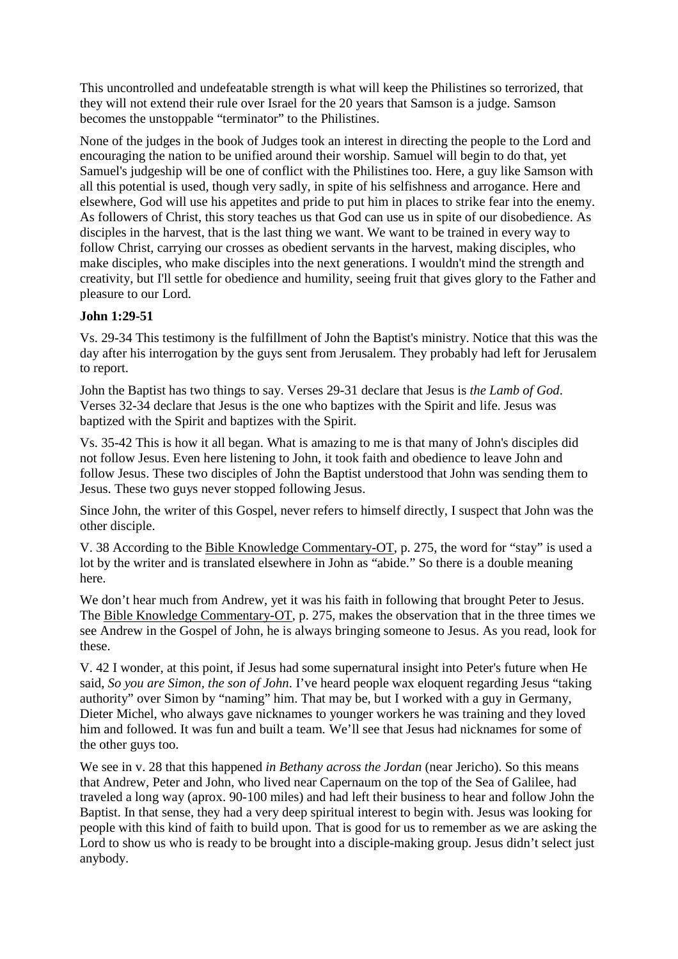This uncontrolled and undefeatable strength is what will keep the Philistines so terrorized, that they will not extend their rule over Israel for the 20 years that Samson is a judge. Samson becomes the unstoppable "terminator" to the Philistines.

None of the judges in the book of Judges took an interest in directing the people to the Lord and encouraging the nation to be unified around their worship. Samuel will begin to do that, yet Samuel's judgeship will be one of conflict with the Philistines too. Here, a guy like Samson with all this potential is used, though very sadly, in spite of his selfishness and arrogance. Here and elsewhere, God will use his appetites and pride to put him in places to strike fear into the enemy. As followers of Christ, this story teaches us that God can use us in spite of our disobedience. As disciples in the harvest, that is the last thing we want. We want to be trained in every way to follow Christ, carrying our crosses as obedient servants in the harvest, making disciples, who make disciples, who make disciples into the next generations. I wouldn't mind the strength and creativity, but I'll settle for obedience and humility, seeing fruit that gives glory to the Father and pleasure to our Lord.

## **John 1:29-51**

Vs. 29-34 This testimony is the fulfillment of John the Baptist's ministry. Notice that this was the day after his interrogation by the guys sent from Jerusalem. They probably had left for Jerusalem to report.

John the Baptist has two things to say. Verses 29-31 declare that Jesus is *the Lamb of God*. Verses 32-34 declare that Jesus is the one who baptizes with the Spirit and life. Jesus was baptized with the Spirit and baptizes with the Spirit.

Vs. 35-42 This is how it all began. What is amazing to me is that many of John's disciples did not follow Jesus. Even here listening to John, it took faith and obedience to leave John and follow Jesus. These two disciples of John the Baptist understood that John was sending them to Jesus. These two guys never stopped following Jesus.

Since John, the writer of this Gospel, never refers to himself directly, I suspect that John was the other disciple.

V. 38 According to the Bible Knowledge Commentary-OT, p. 275, the word for "stay" is used a lot by the writer and is translated elsewhere in John as "abide." So there is a double meaning here.

We don't hear much from Andrew, yet it was his faith in following that brought Peter to Jesus. The Bible Knowledge Commentary-OT, p. 275, makes the observation that in the three times we see Andrew in the Gospel of John, he is always bringing someone to Jesus. As you read, look for these.

V. 42 I wonder, at this point, if Jesus had some supernatural insight into Peter's future when He said, *So you are Simon, the son of John*. I've heard people wax eloquent regarding Jesus "taking authority" over Simon by "naming" him. That may be, but I worked with a guy in Germany, Dieter Michel, who always gave nicknames to younger workers he was training and they loved him and followed. It was fun and built a team. We'll see that Jesus had nicknames for some of the other guys too.

We see in v. 28 that this happened *in Bethany across the Jordan* (near Jericho). So this means that Andrew, Peter and John, who lived near Capernaum on the top of the Sea of Galilee, had traveled a long way (aprox. 90-100 miles) and had left their business to hear and follow John the Baptist. In that sense, they had a very deep spiritual interest to begin with. Jesus was looking for people with this kind of faith to build upon. That is good for us to remember as we are asking the Lord to show us who is ready to be brought into a disciple-making group. Jesus didn't select just anybody.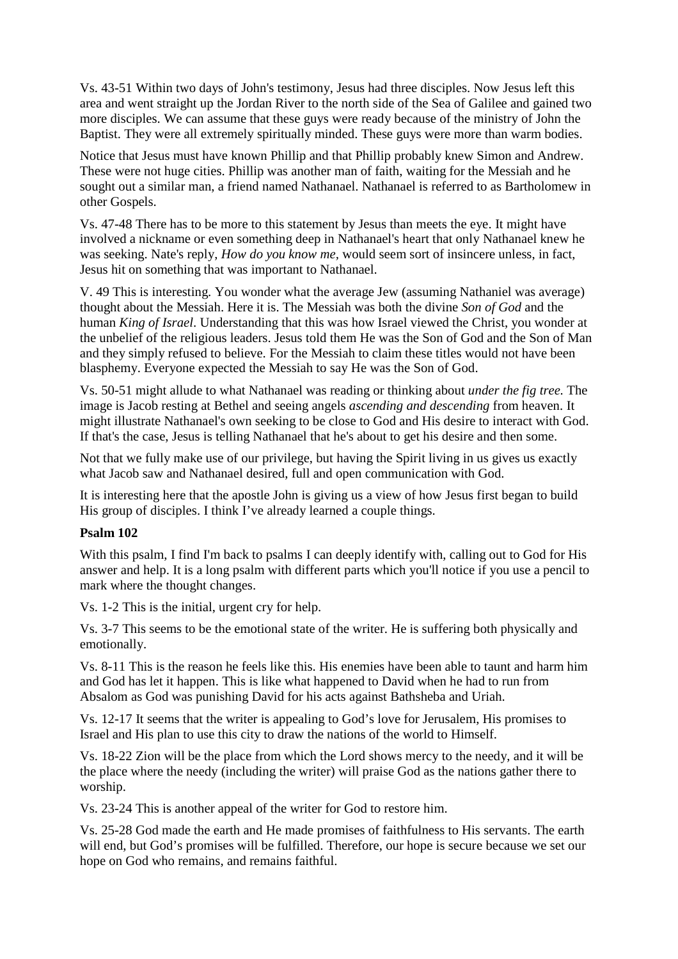Vs. 43-51 Within two days of John's testimony, Jesus had three disciples. Now Jesus left this area and went straight up the Jordan River to the north side of the Sea of Galilee and gained two more disciples. We can assume that these guys were ready because of the ministry of John the Baptist. They were all extremely spiritually minded. These guys were more than warm bodies.

Notice that Jesus must have known Phillip and that Phillip probably knew Simon and Andrew. These were not huge cities. Phillip was another man of faith, waiting for the Messiah and he sought out a similar man, a friend named Nathanael. Nathanael is referred to as Bartholomew in other Gospels.

Vs. 47-48 There has to be more to this statement by Jesus than meets the eye. It might have involved a nickname or even something deep in Nathanael's heart that only Nathanael knew he was seeking. Nate's reply, *How do you know me,* would seem sort of insincere unless, in fact, Jesus hit on something that was important to Nathanael.

V. 49 This is interesting. You wonder what the average Jew (assuming Nathaniel was average) thought about the Messiah. Here it is. The Messiah was both the divine *Son of God* and the human *King of Israel*. Understanding that this was how Israel viewed the Christ, you wonder at the unbelief of the religious leaders. Jesus told them He was the Son of God and the Son of Man and they simply refused to believe. For the Messiah to claim these titles would not have been blasphemy. Everyone expected the Messiah to say He was the Son of God.

Vs. 50-51 might allude to what Nathanael was reading or thinking about *under the fig tree.* The image is Jacob resting at Bethel and seeing angels *ascending and descending* from heaven. It might illustrate Nathanael's own seeking to be close to God and His desire to interact with God. If that's the case, Jesus is telling Nathanael that he's about to get his desire and then some.

Not that we fully make use of our privilege, but having the Spirit living in us gives us exactly what Jacob saw and Nathanael desired, full and open communication with God.

It is interesting here that the apostle John is giving us a view of how Jesus first began to build His group of disciples. I think I've already learned a couple things.

### **Psalm 102**

With this psalm, I find I'm back to psalms I can deeply identify with, calling out to God for His answer and help. It is a long psalm with different parts which you'll notice if you use a pencil to mark where the thought changes.

Vs. 1-2 This is the initial, urgent cry for help.

Vs. 3-7 This seems to be the emotional state of the writer. He is suffering both physically and emotionally.

Vs. 8-11 This is the reason he feels like this. His enemies have been able to taunt and harm him and God has let it happen. This is like what happened to David when he had to run from Absalom as God was punishing David for his acts against Bathsheba and Uriah.

Vs. 12-17 It seems that the writer is appealing to God's love for Jerusalem, His promises to Israel and His plan to use this city to draw the nations of the world to Himself.

Vs. 18-22 Zion will be the place from which the Lord shows mercy to the needy, and it will be the place where the needy (including the writer) will praise God as the nations gather there to worship.

Vs. 23-24 This is another appeal of the writer for God to restore him.

Vs. 25-28 God made the earth and He made promises of faithfulness to His servants. The earth will end, but God's promises will be fulfilled. Therefore, our hope is secure because we set our hope on God who remains, and remains faithful.